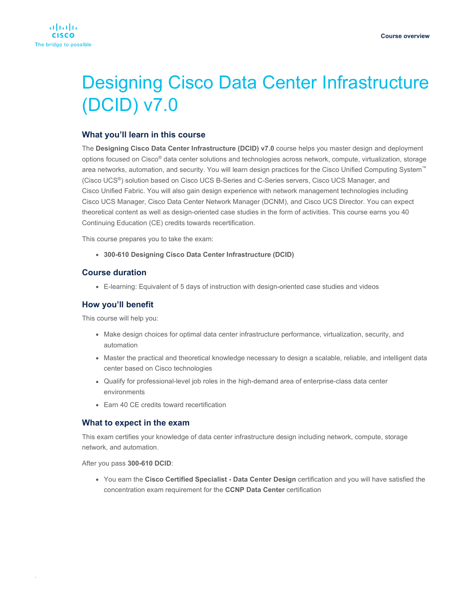# Designing Cisco Data Center Infrastructure (DCID) v7.0

# **What you'll learn in this course**

The **Designing Cisco Data Center Infrastructure (DCID) v7.0** course helps you master design and deployment options focused on Cisco® data center solutions and technologies across network, compute, virtualization, storage area networks, automation, and security. You will learn design practices for the Cisco Unified Computing System™ (Cisco UCS®) solution based on Cisco UCS B-Series and C-Series servers, Cisco UCS Manager, and Cisco Unified Fabric. You will also gain design experience with network management technologies including Cisco UCS Manager, Cisco Data Center Network Manager (DCNM), and Cisco UCS Director. You can expect theoretical content as well as design-oriented case studies in the form of activities. This course earns you 40 Continuing Education (CE) credits towards recertification.

This course prepares you to take the exam:

● **300-610 Designing Cisco Data Center Infrastructure (DCID)**

## **Course duration**

● E-learning: Equivalent of 5 days of instruction with design-oriented case studies and videos

## **How you'll benefit**

This course will help you:

- Make design choices for optimal data center infrastructure performance, virtualization, security, and automation
- Master the practical and theoretical knowledge necessary to design a scalable, reliable, and intelligent data center based on Cisco technologies
- Qualify for professional-level job roles in the high-demand area of enterprise-class data center environments
- Earn 40 CE credits toward recertification

## **What to expect in the exam**

This exam certifies your knowledge of data center infrastructure design including network, compute, storage network, and automation.

After you pass **300-610 DCID**:

.

● You earn the **Cisco Certified Specialist - Data Center Design** certification and you will have satisfied the concentration exam requirement for the **CCNP Data Center** certification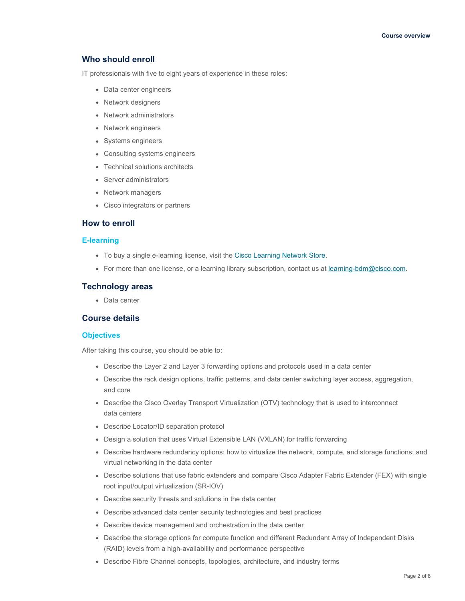# **Who should enroll**

IT professionals with five to eight years of experience in these roles:

- Data center engineers
- Network designers
- Network administrators
- Network engineers
- Systems engineers
- Consulting systems engineers
- Technical solutions architects
- Server administrators
- Network managers
- Cisco integrators or partners

#### **How to enroll**

#### **E-learning**

- To buy a single e-learning license, visit the [Cisco Learning Network Store.](https://learningnetworkstore.cisco.com/on-demand-e-learning/designing-cisco-data-center-infrastructure-dcid-v7-0-elt-dcid-v7-023425)
- For more than one license, or a learning library subscription, contact us at [learning-bdm@cisco.com.](mailto:learning-bdm@cisco.com)

#### **Technology areas**

● Data center

## **Course details**

### **Objectives**

After taking this course, you should be able to:

- Describe the Layer 2 and Layer 3 forwarding options and protocols used in a data center
- Describe the rack design options, traffic patterns, and data center switching layer access, aggregation, and core
- Describe the Cisco Overlay Transport Virtualization (OTV) technology that is used to interconnect data centers
- Describe Locator/ID separation protocol
- Design a solution that uses Virtual Extensible LAN (VXLAN) for traffic forwarding
- Describe hardware redundancy options; how to virtualize the network, compute, and storage functions; and virtual networking in the data center
- Describe solutions that use fabric extenders and compare Cisco Adapter Fabric Extender (FEX) with single root input/output virtualization (SR-IOV)
- Describe security threats and solutions in the data center
- Describe advanced data center security technologies and best practices
- Describe device management and orchestration in the data center
- Describe the storage options for compute function and different Redundant Array of Independent Disks (RAID) levels from a high-availability and performance perspective
- Describe Fibre Channel concepts, topologies, architecture, and industry terms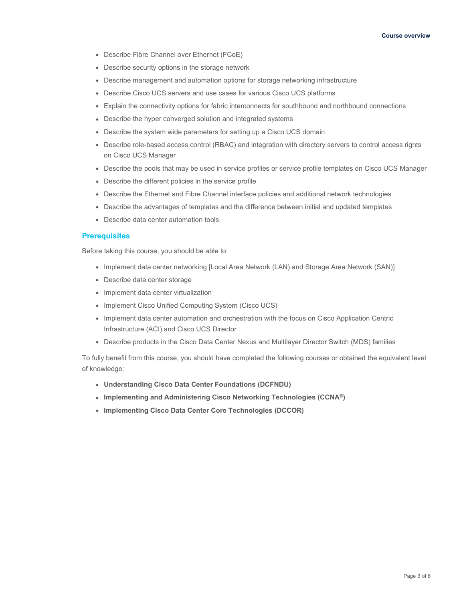- Describe Fibre Channel over Ethernet (FCoE)
- Describe security options in the storage network
- Describe management and automation options for storage networking infrastructure
- Describe Cisco UCS servers and use cases for various Cisco UCS platforms
- Explain the connectivity options for fabric interconnects for southbound and northbound connections
- Describe the hyper converged solution and integrated systems
- Describe the system wide parameters for setting up a Cisco UCS domain
- Describe role-based access control (RBAC) and integration with directory servers to control access rights on Cisco UCS Manager
- Describe the pools that may be used in service profiles or service profile templates on Cisco UCS Manager
- Describe the different policies in the service profile
- Describe the Ethernet and Fibre Channel interface policies and additional network technologies
- Describe the advantages of templates and the difference between initial and updated templates
- Describe data center automation tools

# **Prerequisites**

Before taking this course, you should be able to:

- Implement data center networking [Local Area Network (LAN) and Storage Area Network (SAN)]
- Describe data center storage
- Implement data center virtualization
- Implement Cisco Unified Computing System (Cisco UCS)
- Implement data center automation and orchestration with the focus on Cisco Application Centric Infrastructure (ACI) and Cisco UCS Director
- Describe products in the Cisco Data Center Nexus and Multilayer Director Switch (MDS) families

To fully benefit from this course, you should have completed the following courses or obtained the equivalent level of knowledge:

- **Understanding Cisco Data Center Foundations (DCFNDU)**
- **Implementing and Administering Cisco Networking Technologies (CCNA®)**
- **Implementing Cisco Data Center Core Technologies (DCCOR)**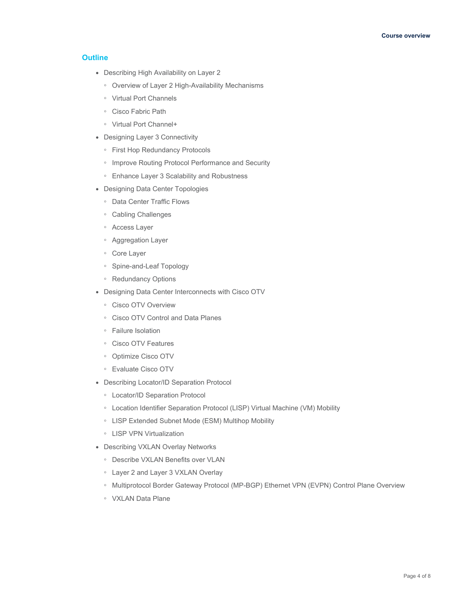## **Outline**

- Describing High Availability on Layer 2
	- Overview of Layer 2 High-Availability Mechanisms
	- Virtual Port Channels
	- Cisco Fabric Path
	- Virtual Port Channel+
- Designing Layer 3 Connectivity
	- First Hop Redundancy Protocols
	- Improve Routing Protocol Performance and Security
	- Enhance Layer 3 Scalability and Robustness
- Designing Data Center Topologies
	- Data Center Traffic Flows
	- Cabling Challenges
	- Access Layer
	- Aggregation Layer
	- Core Layer
	- Spine-and-Leaf Topology
	- Redundancy Options
- Designing Data Center Interconnects with Cisco OTV
	- Cisco OTV Overview
	- Cisco OTV Control and Data Planes
	- Failure Isolation
	- Cisco OTV Features
	- Optimize Cisco OTV
	- Evaluate Cisco OTV
- Describing Locator/ID Separation Protocol
	- Locator/ID Separation Protocol
	- Location Identifier Separation Protocol (LISP) Virtual Machine (VM) Mobility
	- LISP Extended Subnet Mode (ESM) Multihop Mobility
	- LISP VPN Virtualization
- Describing VXLAN Overlay Networks
	- Describe VXLAN Benefits over VLAN
	- Layer 2 and Layer 3 VXLAN Overlay
	- Multiprotocol Border Gateway Protocol (MP-BGP) Ethernet VPN (EVPN) Control Plane Overview
	- VXLAN Data Plane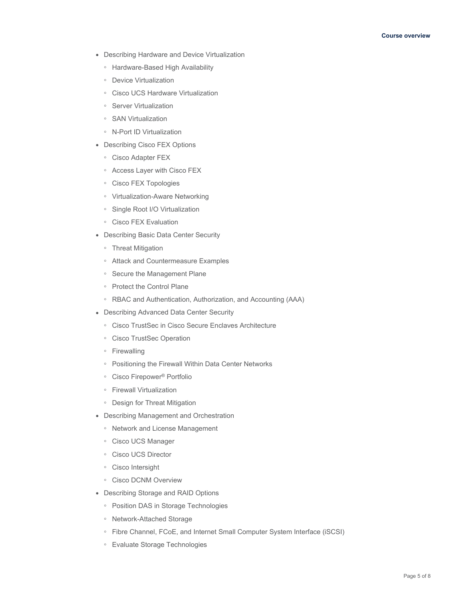- Describing Hardware and Device Virtualization
	- Hardware-Based High Availability
	- Device Virtualization
	- Cisco UCS Hardware Virtualization
	- Server Virtualization
	- SAN Virtualization
	- N-Port ID Virtualization
- Describing Cisco FEX Options
	- Cisco Adapter FEX
	- Access Layer with Cisco FEX
	- Cisco FEX Topologies
	- Virtualization-Aware Networking
	- Single Root I/O Virtualization
	- Cisco FEX Evaluation
- Describing Basic Data Center Security
	- Threat Mitigation
	- Attack and Countermeasure Examples
	- Secure the Management Plane
	- Protect the Control Plane
	- RBAC and Authentication, Authorization, and Accounting (AAA)
- Describing Advanced Data Center Security
	- Cisco TrustSec in Cisco Secure Enclaves Architecture
	- Cisco TrustSec Operation
	- Firewalling
	- Positioning the Firewall Within Data Center Networks
	- Cisco Firepower® Portfolio
	- Firewall Virtualization
	- Design for Threat Mitigation
- Describing Management and Orchestration
	- Network and License Management
	- Cisco UCS Manager
	- Cisco UCS Director
	- Cisco Intersight
	- Cisco DCNM Overview
- Describing Storage and RAID Options
	- Position DAS in Storage Technologies
	- Network-Attached Storage
	- Fibre Channel, FCoE, and Internet Small Computer System Interface (iSCSI)
	- Evaluate Storage Technologies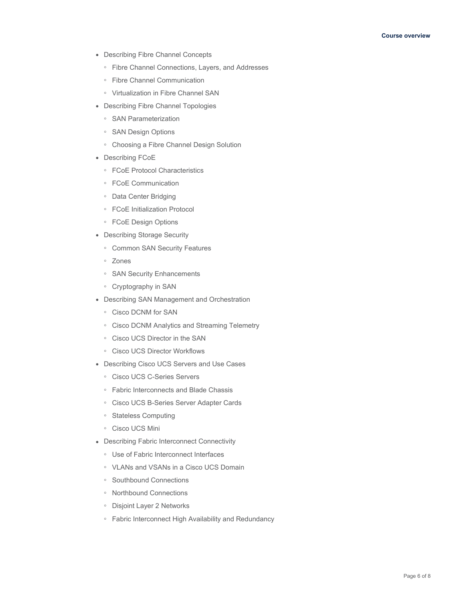- Describing Fibre Channel Concepts
	- Fibre Channel Connections, Layers, and Addresses
	- Fibre Channel Communication
	- Virtualization in Fibre Channel SAN
- Describing Fibre Channel Topologies
	- SAN Parameterization
	- SAN Design Options
	- Choosing a Fibre Channel Design Solution
- Describing FCoE
	- FCoE Protocol Characteristics
	- FCoE Communication
	- Data Center Bridging
	- FCoE Initialization Protocol
	- FCoE Design Options
- Describing Storage Security
	- Common SAN Security Features
	- Zones
	- SAN Security Enhancements
	- Cryptography in SAN
- Describing SAN Management and Orchestration
	- Cisco DCNM for SAN
	- Cisco DCNM Analytics and Streaming Telemetry
	- Cisco UCS Director in the SAN
	- Cisco UCS Director Workflows
- Describing Cisco UCS Servers and Use Cases
	- Cisco UCS C-Series Servers
	- Fabric Interconnects and Blade Chassis
	- Cisco UCS B-Series Server Adapter Cards
	- Stateless Computing
	- Cisco UCS Mini
- Describing Fabric Interconnect Connectivity
	- Use of Fabric Interconnect Interfaces
	- VLANs and VSANs in a Cisco UCS Domain
	- Southbound Connections
	- Northbound Connections
	- Disjoint Layer 2 Networks
	- Fabric Interconnect High Availability and Redundancy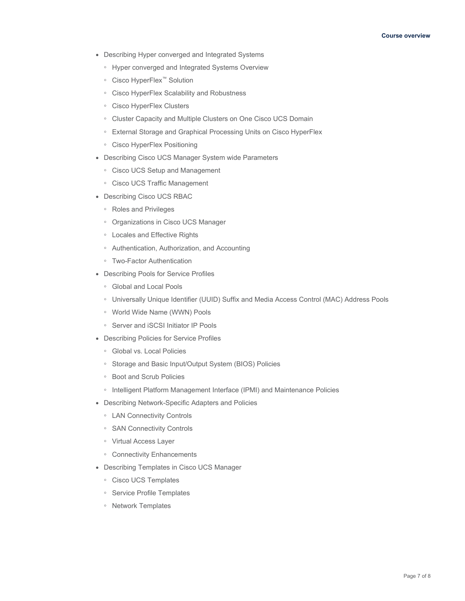- Describing Hyper converged and Integrated Systems
	- Hyper converged and Integrated Systems Overview
	- Cisco HyperFlex™ Solution
	- Cisco HyperFlex Scalability and Robustness
	- Cisco HyperFlex Clusters
	- Cluster Capacity and Multiple Clusters on One Cisco UCS Domain
	- External Storage and Graphical Processing Units on Cisco HyperFlex
	- Cisco HyperFlex Positioning
- Describing Cisco UCS Manager System wide Parameters
	- Cisco UCS Setup and Management
	- Cisco UCS Traffic Management
- Describing Cisco UCS RBAC
	- Roles and Privileges
	- Organizations in Cisco UCS Manager
	- Locales and Effective Rights
	- Authentication, Authorization, and Accounting
	- Two-Factor Authentication
- Describing Pools for Service Profiles
	- Global and Local Pools
	- Universally Unique Identifier (UUID) Suffix and Media Access Control (MAC) Address Pools
	- World Wide Name (WWN) Pools
	- Server and iSCSI Initiator IP Pools
- Describing Policies for Service Profiles
	- Global vs. Local Policies
	- Storage and Basic Input/Output System (BIOS) Policies
	- Boot and Scrub Policies
	- Intelligent Platform Management Interface (IPMI) and Maintenance Policies
- Describing Network-Specific Adapters and Policies
	- LAN Connectivity Controls
	- SAN Connectivity Controls
	- Virtual Access Layer
	- Connectivity Enhancements
- Describing Templates in Cisco UCS Manager
	- Cisco UCS Templates
	- Service Profile Templates
	- Network Templates